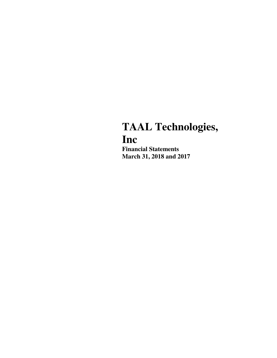# **TAAL Technologies, Inc**

**Financial Statements March 31, 2018 and 2017**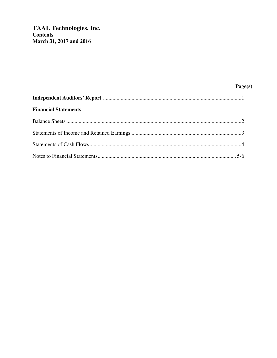| <b>Financial Statements</b> |  |
|-----------------------------|--|
|                             |  |
|                             |  |
|                             |  |
|                             |  |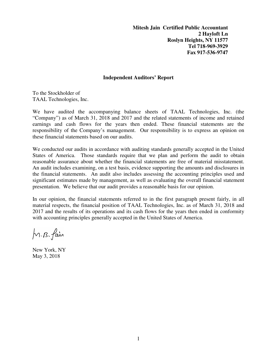**Mitesh Jain Certified Public Accountant 2 Hayloft Ln Roslyn Heights, NY 11577 Tel 718-969-3929 Fax 917-536-9747** 

#### **Independent Auditors' Report**

To the Stockholder of TAAL Technologies, Inc.

We have audited the accompanying balance sheets of TAAL Technologies, Inc. (the "Company") as of March 31, 2018 and 2017 and the related statements of income and retained earnings and cash flows for the years then ended. These financial statements are the responsibility of the Company's management. Our responsibility is to express an opinion on these financial statements based on our audits.

We conducted our audits in accordance with auditing standards generally accepted in the United States of America. Those standards require that we plan and perform the audit to obtain reasonable assurance about whether the financial statements are free of material misstatement. An audit includes examining, on a test basis, evidence supporting the amounts and disclosures in the financial statements. An audit also includes assessing the accounting principles used and significant estimates made by management, as well as evaluating the overall financial statement presentation. We believe that our audit provides a reasonable basis for our opinion.

In our opinion, the financial statements referred to in the first paragraph present fairly, in all material respects, the financial position of TAAL Technologies, Inc. as of March 31, 2018 and 2017 and the results of its operations and its cash flows for the years then ended in conformity with accounting principles generally accepted in the United States of America.

M. B. fain

New York, NY May 3, 2018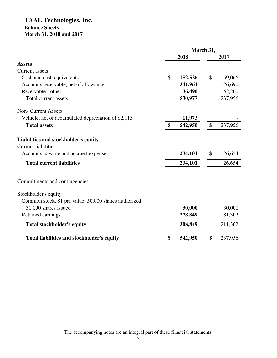# **TAAL Technologies, Inc. Balance Sheets March 31, 2018 and 2017**

|                                                        | March 31, |         |               |         |
|--------------------------------------------------------|-----------|---------|---------------|---------|
|                                                        | 2018      |         | 2017          |         |
| <b>Assets</b>                                          |           |         |               |         |
| Current assets                                         |           |         |               |         |
| Cash and cash equivalents                              | \$        | 152,526 | \$            | 59,066  |
| Accounts receivable, net of allowance                  |           | 341,961 |               | 126,690 |
| Receivable - other                                     |           | 36,490  |               | 52,200  |
| Total current assets                                   |           | 530,977 |               | 237,956 |
| <b>Non-Current Assets</b>                              |           |         |               |         |
| Vehicle, net of accumulated depreciation of \$2,113    |           | 11,973  |               |         |
| <b>Total assets</b>                                    | \$        | 542,950 | $\mathcal{S}$ | 237,956 |
| Liabilities and stockholder's equity                   |           |         |               |         |
| <b>Current liabilities</b>                             |           |         |               |         |
| Accounts payable and accrued expenses                  |           | 234,101 | \$            | 26,654  |
| <b>Total current liabilities</b>                       |           | 234,101 |               | 26,654  |
| Commitments and contingencies                          |           |         |               |         |
| Stockholder's equity                                   |           |         |               |         |
| Common stock, \$1 par value; 50,000 shares authorized; |           |         |               |         |
| 30,000 shares issued                                   |           | 30,000  |               | 30,000  |
| Retained earnings                                      |           | 278,849 |               | 181,302 |
| <b>Total stockholder's equity</b>                      |           | 308,849 |               | 211,302 |
| Total liabilities and stockholder's equity             | \$        | 542,950 | \$            | 237,956 |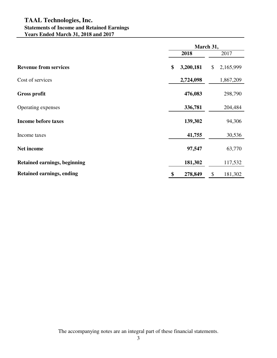# **TAAL Technologies, Inc. Statements of Income and Retained Earnings Years Ended March 31, 2018 and 2017**

|                                  |                 | March 31,       |  |  |
|----------------------------------|-----------------|-----------------|--|--|
|                                  | 2018            | 2017            |  |  |
| <b>Revenue from services</b>     | 3,200,181<br>\$ | 2,165,999<br>\$ |  |  |
| Cost of services                 | 2,724,098       | 1,867,209       |  |  |
| <b>Gross profit</b>              | 476,083         | 298,790         |  |  |
| Operating expenses               | 336,781         | 204,484         |  |  |
| <b>Income before taxes</b>       | 139,302         | 94,306          |  |  |
| Income taxes                     | 41,755          | 30,536          |  |  |
| Net income                       | 97,547          | 63,770          |  |  |
| Retained earnings, beginning     | 181,302         | 117,532         |  |  |
| <b>Retained earnings, ending</b> | 278,849<br>\$   | \$<br>181,302   |  |  |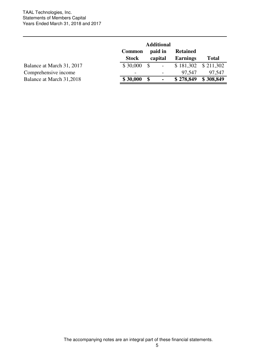|                           | <b>Additional</b> |                                |                 |              |
|---------------------------|-------------------|--------------------------------|-----------------|--------------|
|                           | <b>Common</b>     | paid in                        | <b>Retained</b> |              |
|                           | <b>Stock</b>      | capital                        | <b>Earnings</b> | <b>Total</b> |
| Balance at March 31, 2017 | \$30,000          | -S<br>$\overline{\phantom{a}}$ | \$181,302       | \$211,302    |
| Comprehensive income      |                   |                                | 97.547          | 97,547       |
| Balance at March 31,2018  | \$30,000          | \$<br>$\blacksquare$           | \$278,849       | \$308,849    |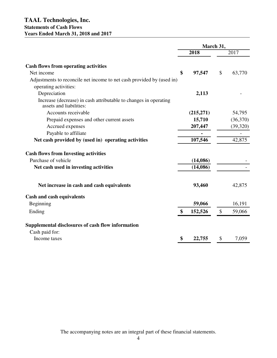|                                                                                                | March 31, |           |              |          |
|------------------------------------------------------------------------------------------------|-----------|-----------|--------------|----------|
|                                                                                                |           | 2018      |              | 2017     |
| <b>Cash flows from operating activities</b>                                                    |           |           |              |          |
| Net income                                                                                     | \$        | 97,547    | $\mathbb{S}$ | 63,770   |
| Adjustments to reconcile net income to net cash provided by (used in)<br>operating activities: |           |           |              |          |
| Depreciation                                                                                   |           | 2,113     |              |          |
| Increase (decrease) in cash attributable to changes in operating<br>assets and liabilities:    |           |           |              |          |
| Accounts receivable                                                                            |           | (215,271) |              | 54,795   |
| Prepaid expenses and other current assets                                                      |           | 15,710    |              | (36,370) |
| Accrued expenses                                                                               |           | 207,447   |              | (39,320) |
| Payable to affiliate                                                                           |           |           |              |          |
| Net cash provided by (used in) operating activities                                            |           | 107,546   |              | 42,875   |
| <b>Cash flows from Investing activities</b>                                                    |           |           |              |          |
| Purchase of vehicle                                                                            |           | (14,086)  |              |          |
| Net cash used in investing activities                                                          |           | (14,086)  |              |          |
| Net increase in cash and cash equivalents                                                      |           | 93,460    |              | 42,875   |
| <b>Cash and cash equivalents</b>                                                               |           |           |              |          |
| Beginning                                                                                      |           | 59,066    |              | 16,191   |
| Ending                                                                                         | \$        | 152,526   | \$           | 59,066   |
| Supplemental disclosures of cash flow information                                              |           |           |              |          |
| Cash paid for:                                                                                 |           |           |              |          |
| Income taxes                                                                                   | \$        | 22,755    | \$           | 7,059    |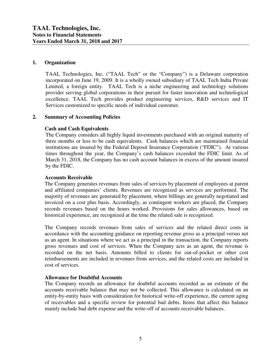## **1. Organization**

TAAL Technologies, Inc. ("TAAL Tech" or the "Company") is a Delaware corporation incorporated on June 19, 2009. It is a wholly owned subsidiary of TAAL Tech India Private Limited, a foreign entity. TAAL Tech is a niche engineering and technology solutions provider serving global corporations in their pursuit for faster innovation and technological excellence. TAAL Tech provides product engineering services, R&D services and IT Services customized to specific needs of individual customer.

## **2. Summary of Accounting Policies**

## **Cash and Cash Equivalents**

The Company considers all highly liquid investments purchased with an original maturity of three months or less to be cash equivalents. Cash balances which are maintained financial institutions are insured by the Federal Deposit Insurance Corporation ("FDIC"). At various times throughout the year, the Company's cash balances exceeded the FDIC limit. As of March 31, 2018, the Company has no cash account balances in excess of the amount insured by the FDIC.

## **Accounts Receivable**

The Company generates revenues from sales of services by placement of employees at parent and affiliated companies' clients. Revenues are recognized as services are performed. The majority of revenues are generated by placement, where billings are generally negotiated and invoiced on a cost plus basis. Accordingly, as contingent workers are placed, the Company records revenues based on the hours worked. Provisions for sales allowances, based on historical experience, are recognized at the time the related sale is recognized.

The Company records revenues from sales of services and the related direct costs in accordance with the accounting guidance on reporting revenue gross as a principal versus net as an agent. In situations where we act as a principal in the transaction, the Company reports gross revenues and cost of services. When the Company acts as an agent, the revenue is recorded on the net basis. Amounts billed to clients for out-of-pocket or other cost reimbursements are included in revenues from services, and the related costs are included in cost of services.

## **Allowance for Doubtful Accounts**

The Company records an allowance for doubtful accounts recorded as an estimate of the accounts receivable balance that may not be collected. This allowance is calculated on an entity-by-entity basis with consideration for historical write-off experience, the current aging of receivables and a specific review for potential bad debts. Items that affect this balance mainly include bad debt expense and the write-off of accounts receivable balances.